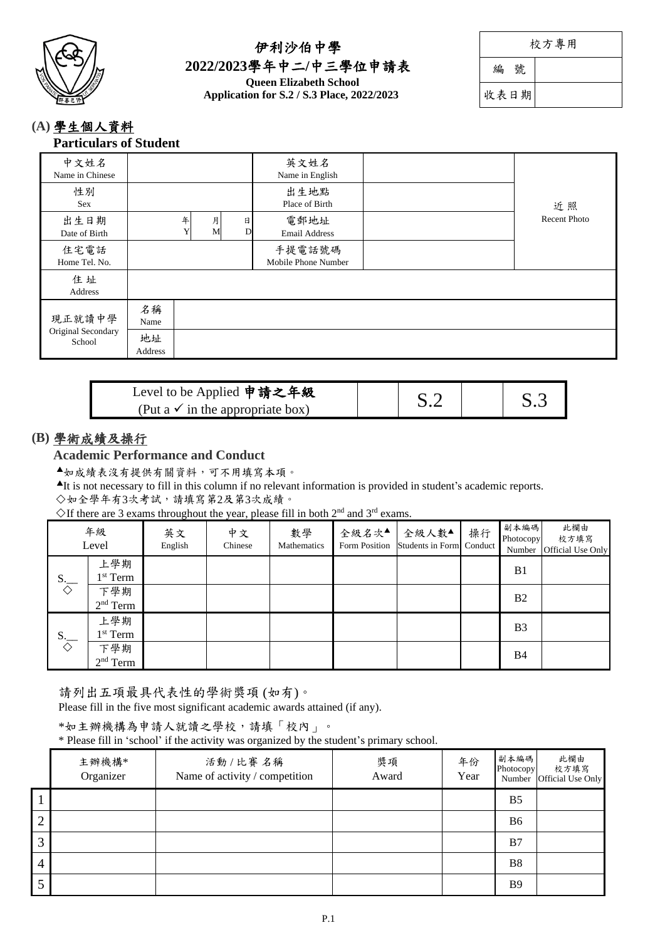

## 伊利沙伯中學 **2022/2023**學年中二**/**中三學位申請表 **Queen Elizabeth School Application for S.2 / S.3 Place, 2022/2023**

| 校方專用 |  |
|------|--|
|------|--|

編 號

收表日期

### **(A)** 學生個人資料 **Particulars of Student**

| 中文姓名<br>Name in Chinese      |               |   |        |        | 英文姓名<br>Name in English       |                     |
|------------------------------|---------------|---|--------|--------|-------------------------------|---------------------|
| 性別<br>Sex                    |               |   |        |        | 出生地點<br>Place of Birth        | 近照                  |
| 出生日期<br>Date of Birth        |               | 年 | 月<br>M | 日<br>D | 電郵地址<br><b>Email Address</b>  | <b>Recent Photo</b> |
| 住宅電話<br>Home Tel. No.        |               |   |        |        | 手提電話號碼<br>Mobile Phone Number |                     |
| 住址<br>Address                |               |   |        |        |                               |                     |
| 現正就讀中學                       | 名稱<br>Name    |   |        |        |                               |                     |
| Original Secondary<br>School | 地址<br>Address |   |        |        |                               |                     |

| Level to be Applied 申請之年級                   |  |     |
|---------------------------------------------|--|-----|
| (Put a $\checkmark$ in the appropriate box) |  | S.3 |

# **(B)** 學術成績及操行

**Academic Performance and Conduct**

如成績表沒有提供有關資料,可不用填寫本項。

It is not necessary to fill in this column if no relevant information is provided in student's academic reports.

## 如全學年有3次考試,請填寫第2及第3次成績。

 $\Diamond$  If there are 3 exams throughout the year, please fill in both 2<sup>nd</sup> and 3<sup>rd</sup> exams.

|                               | 年級<br>Level       | $\sim$<br>英文<br>English | $\overline{\phantom{a}}$<br>中文<br>Chinese | 數學<br>Mathematics | 全級名次▲<br>Form Position | 全級人數▲<br>Students in Form Conduct | 操行 | 副本編碼 <br>Photocopy<br>Number | 此欄由<br>校方填寫<br>Official Use Only |
|-------------------------------|-------------------|-------------------------|-------------------------------------------|-------------------|------------------------|-----------------------------------|----|------------------------------|----------------------------------|
| $S_{\overline{\diamondsuit}}$ | 上學期<br>$1st$ Term |                         |                                           |                   |                        |                                   |    | B <sub>1</sub>               |                                  |
|                               | 下學期<br>$2nd$ Term |                         |                                           |                   |                        |                                   |    | B <sub>2</sub>               |                                  |
| $S_{\overline{\diamondsuit}}$ | 上學期<br>$1st$ Term |                         |                                           |                   |                        |                                   |    | B <sub>3</sub>               |                                  |
|                               | 下學期<br>$2nd$ Term |                         |                                           |                   |                        |                                   |    | <b>B4</b>                    |                                  |

請列出五項最具代表性的學術獎項 (如有)。

Please fill in the five most significant academic awards attained (if any).

\*如主辦機構為申請人就讀之學校,請填「校內」。

\* Please fill in 'school' if the activity was organized by the student's primary school.

|                | 主辦機構*<br>Organizer | 活動/比賽名稱<br>Name of activity / competition | 獎項<br>Award | 年份<br>Year | 副本編碼<br>Photocopy | 此欄由<br>校方填寫<br>Number Official Use Only |
|----------------|--------------------|-------------------------------------------|-------------|------------|-------------------|-----------------------------------------|
|                |                    |                                           |             |            | B <sub>5</sub>    |                                         |
| $\overline{2}$ |                    |                                           |             |            | <b>B6</b>         |                                         |
| 3              |                    |                                           |             |            | B7                |                                         |
| 4              |                    |                                           |             |            | <b>B8</b>         |                                         |
|                |                    |                                           |             |            | <b>B</b> 9        |                                         |